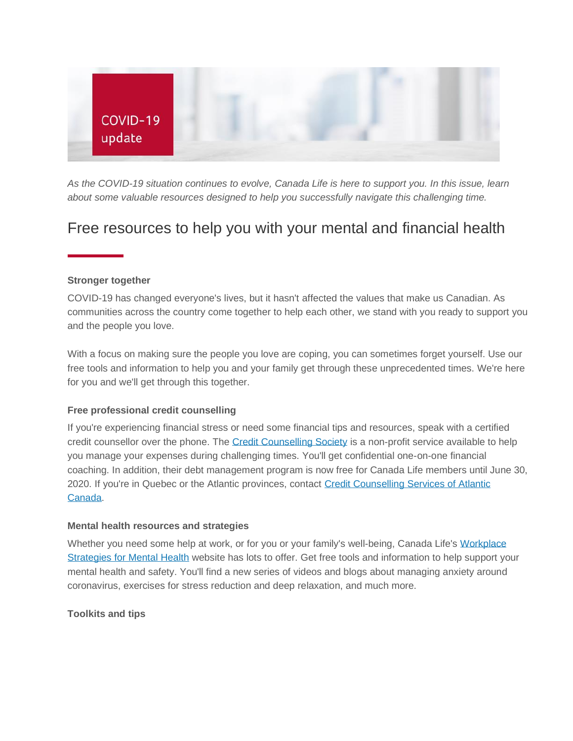

*As the COVID-19 situation continues to evolve, Canada Life is here to support you. In this issue, learn about some valuable resources designed to help you successfully navigate this challenging time.*

# Free resources to help you with your mental and financial health

## **Stronger together**

COVID-19 has changed everyone's lives, but it hasn't affected the values that make us Canadian. As communities across the country come together to help each other, we stand with you ready to support you and the people you love.

With a focus on making sure the people you love are coping, you can sometimes forget yourself. Use our free tools and information to help you and your family get through these unprecedented times. We're here for you and we'll get through this together.

#### **Free professional credit counselling**

If you're experiencing financial stress or need some financial tips and resources, speak with a certified credit counsellor over the phone. The [Credit Counselling Society](http://gwl.campaign.adobe.com/r/?id=h16d5bcc,2812be4,2812bec&cid=eb|GroupBenefit|GroupNet%20Plan%20Member%20-%20newsletter%20-%20special%20edition%20-%20April%204-7,%202020|DMO-5446_EN_2) is a non-profit service available to help you manage your expenses during challenging times. You'll get confidential one-on-one financial coaching. In addition, their debt management program is now free for Canada Life members until June 30, 2020. If you're in Quebec or the Atlantic provinces, contact [Credit Counselling Services of Atlantic](http://gwl.campaign.adobe.com/r/?id=h16d5bcc,2812be4,2812bed&cid=eb|GroupBenefit|GroupNet%20Plan%20Member%20-%20newsletter%20-%20special%20edition%20-%20April%204-7,%202020|DMO-5446_EN_2)  [Canada.](http://gwl.campaign.adobe.com/r/?id=h16d5bcc,2812be4,2812bed&cid=eb|GroupBenefit|GroupNet%20Plan%20Member%20-%20newsletter%20-%20special%20edition%20-%20April%204-7,%202020|DMO-5446_EN_2)

#### **Mental health resources and strategies**

Whether you need some help at work, or for you or your family's well-being, Canada Life's Workplace [Strategies for Mental Health](http://gwl.campaign.adobe.com/r/?id=h16d5bcc,2812be4,2812cfc&cid=eb|GroupBenefit|GroupNet%20Plan%20Member%20-%20newsletter%20-%20special%20edition%20-%20April%204-7,%202020|DMO-5446_EN_2) website has lots to offer. Get free tools and information to help support your mental health and safety. You'll find a new series of videos and blogs about managing anxiety around coronavirus, exercises for stress reduction and deep relaxation, and much more.

**Toolkits and tips**